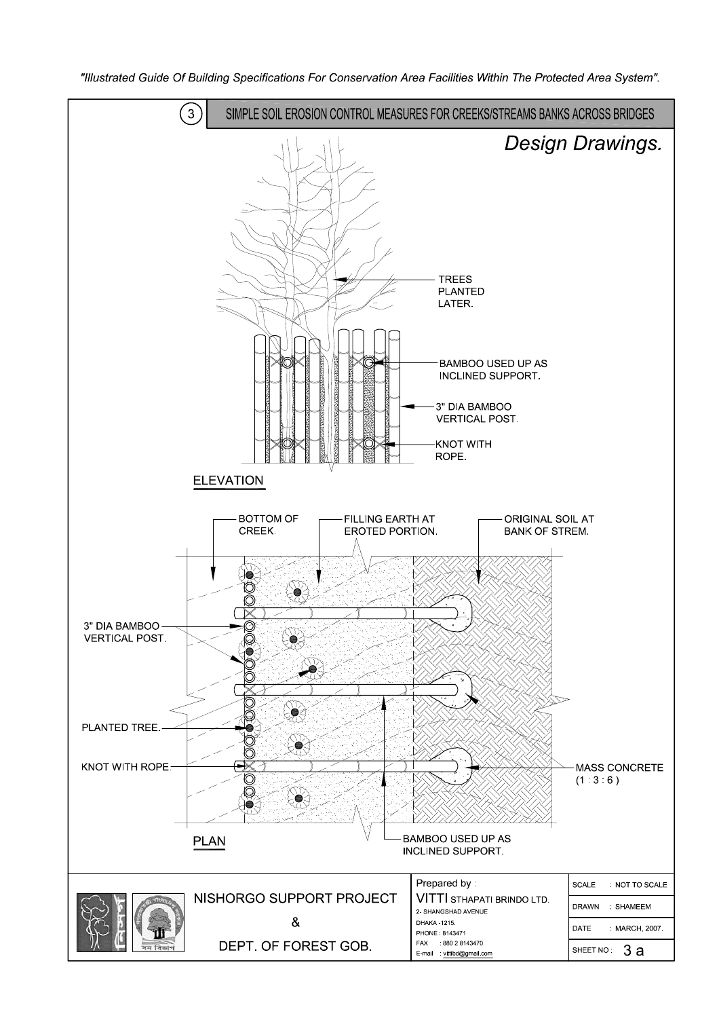

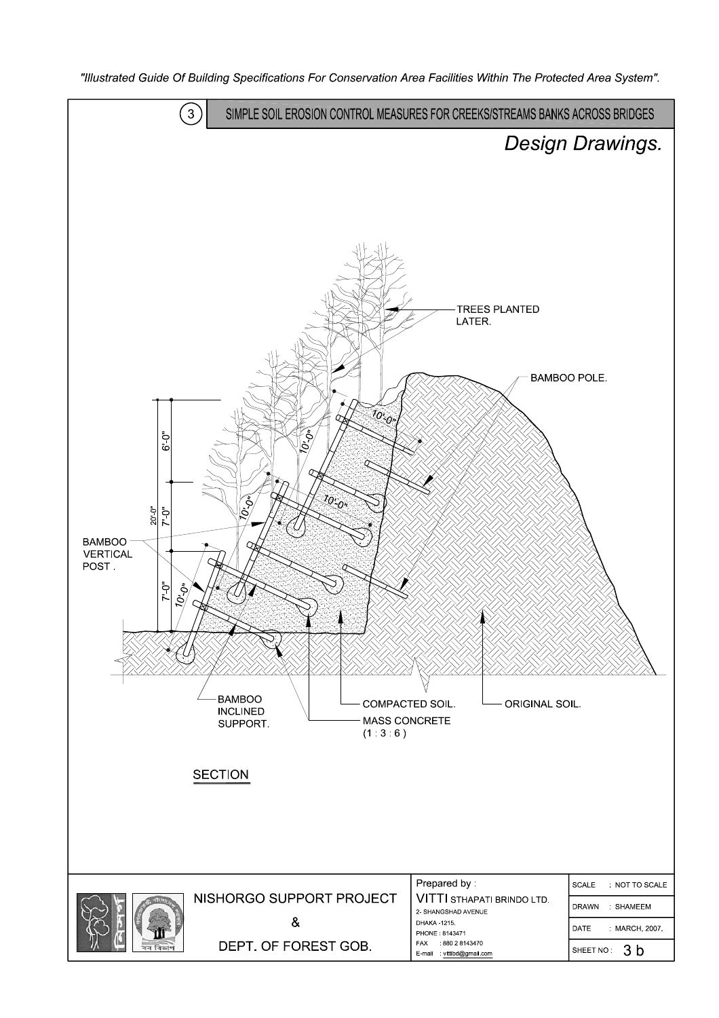

"Illustrated Guide Of Building Specifications For Conservation Area Facilities Within The Protected Area System".